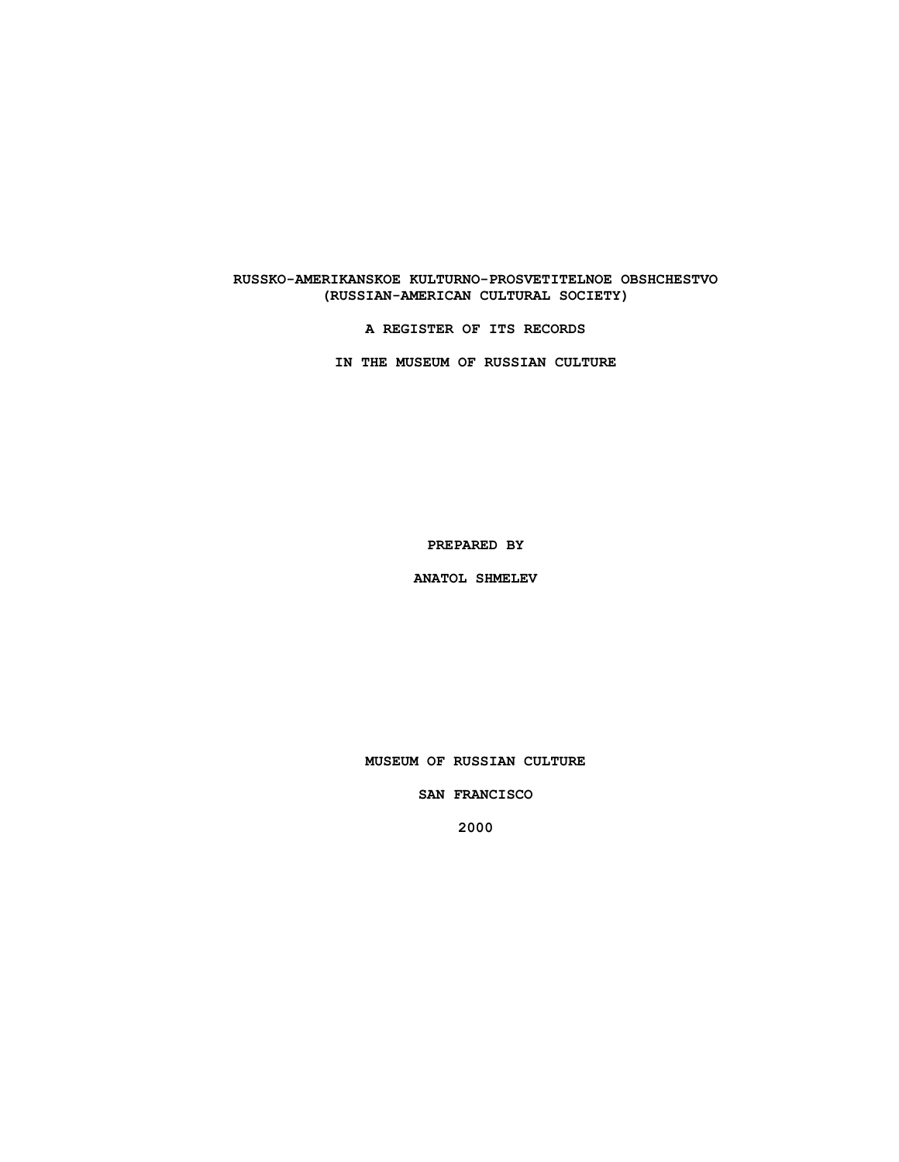# **RUSSKO-AMERIKANSKOE KULTURNO-PROSVETITELNOE OBSHCHESTVO (RUSSIAN-AMERICAN CULTURAL SOCIETY)**

**A REGISTER OF ITS RECORDS**

**IN THE MUSEUM OF RUSSIAN CULTURE**

**PREPARED BY**

**ANATOL SHMELEV**

**MUSEUM OF RUSSIAN CULTURE**

**SAN FRANCISCO**

**2000**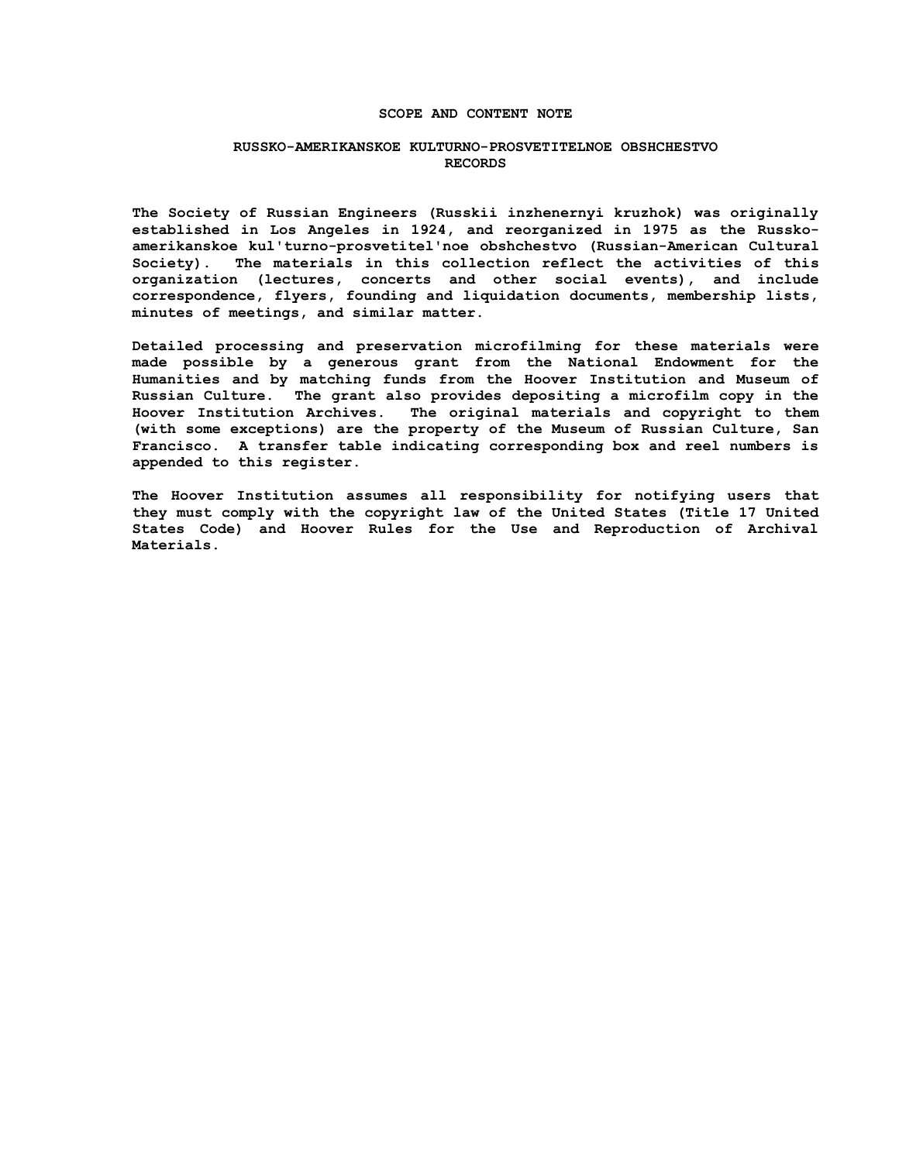### **SCOPE AND CONTENT NOTE**

### **RUSSKO-AMERIKANSKOE KULTURNO-PROSVETITELNOE OBSHCHESTVO RECORDS**

**The Society of Russian Engineers (Russkii inzhenernyi kruzhok) was originally established in Los Angeles in 1924, and reorganized in 1975 as the Russkoamerikanskoe kul'turno-prosvetitel'noe obshchestvo (Russian-American Cultural Society). The materials in this collection reflect the activities of this organization (lectures, concerts and other social events), and include correspondence, flyers, founding and liquidation documents, membership lists, minutes of meetings, and similar matter.**

**Detailed processing and preservation microfilming for these materials were made possible by a generous grant from the National Endowment for the Humanities and by matching funds from the Hoover Institution and Museum of Russian Culture. The grant also provides depositing a microfilm copy in the Hoover Institution Archives. The original materials and copyright to them (with some exceptions) are the property of the Museum of Russian Culture, San Francisco. A transfer table indicating corresponding box and reel numbers is appended to this register.**

**The Hoover Institution assumes all responsibility for notifying users that they must comply with the copyright law of the United States (Title 17 United States Code) and Hoover Rules for the Use and Reproduction of Archival Materials.**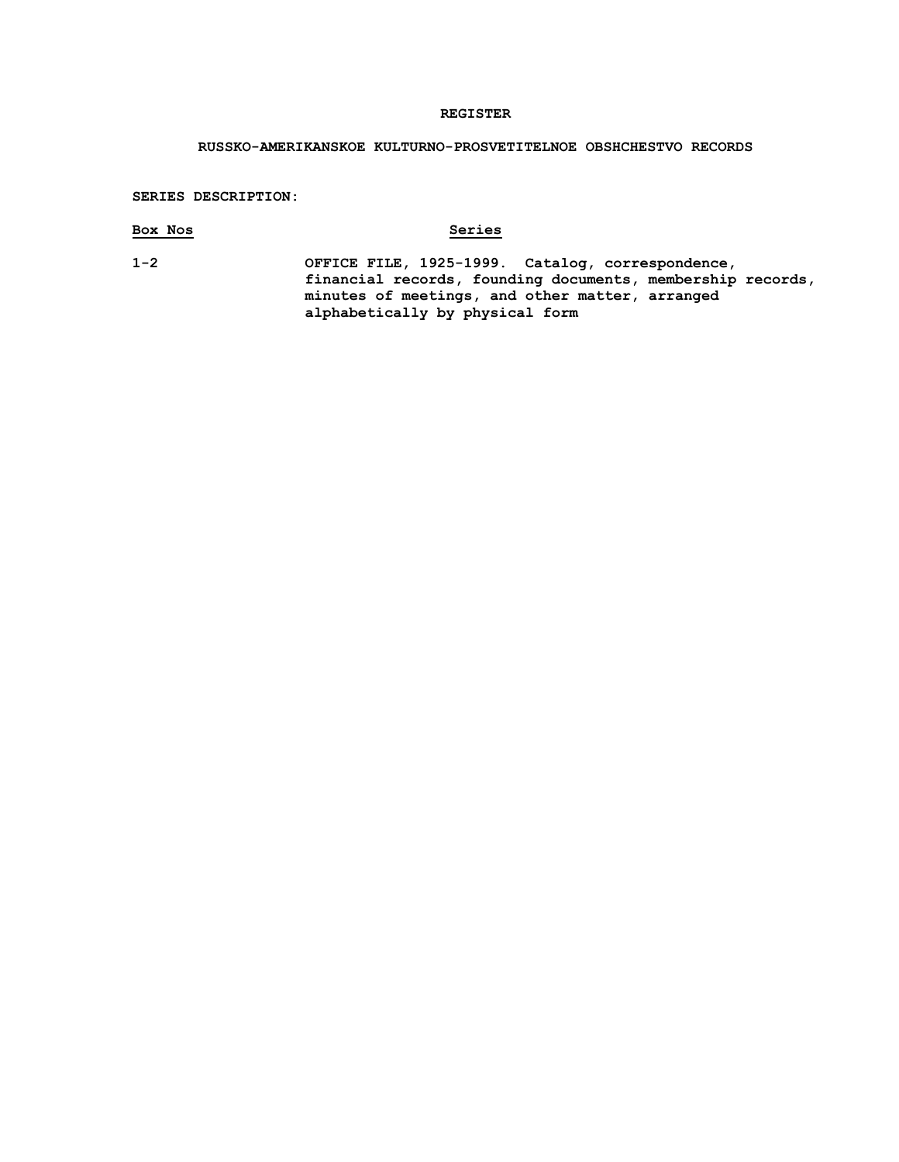### **REGISTER**

## **RUSSKO-AMERIKANSKOE KULTURNO-PROSVETITELNOE OBSHCHESTVO RECORDS**

#### **SERIES DESCRIPTION:**

## **Box Nos Series**

**1-2 OFFICE FILE, 1925-1999. Catalog, correspondence, financial records, founding documents, membership records, minutes of meetings, and other matter, arranged alphabetically by physical form**